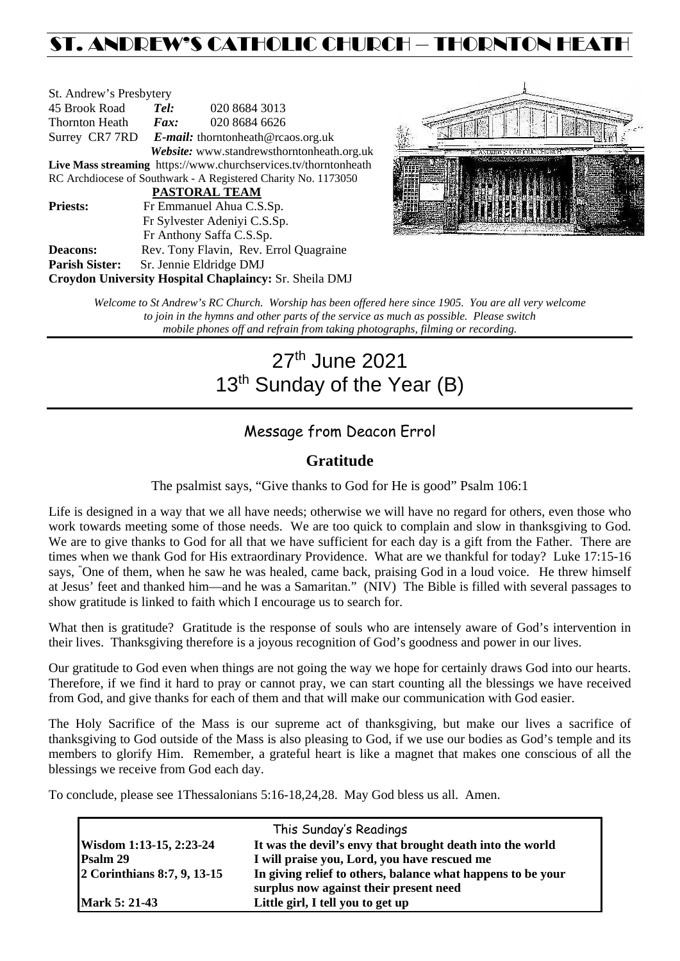# ST. ANDREW'S CATHOLIC CHURCH – THORNTON HEATH

| St. Andrew's Presbytery                                         |                                                   |                                        |  |  |  |
|-----------------------------------------------------------------|---------------------------------------------------|----------------------------------------|--|--|--|
| 45 Brook Road                                                   | Tel:                                              | 020 8684 3013                          |  |  |  |
| Thornton Heath                                                  | $\boldsymbol{F}$ <i>ax</i> :                      | 020 8684 6626                          |  |  |  |
|                                                                 | Surrey CR7 7RD E-mail: thorntonheath@rcaos.org.uk |                                        |  |  |  |
| Website: www.standrewsthorntonheath.org.uk                      |                                                   |                                        |  |  |  |
| Live Mass streaming https://www.churchservices.tv/thorntonheath |                                                   |                                        |  |  |  |
| RC Archdiocese of Southwark - A Registered Charity No. 1173050  |                                                   |                                        |  |  |  |
| <b>PASTORAL TEAM</b>                                            |                                                   |                                        |  |  |  |
| <b>Priests:</b>                                                 | Fr Emmanuel Ahua C.S.Sp.                          |                                        |  |  |  |
| Fr Sylvester Adeniyi C.S.Sp.                                    |                                                   |                                        |  |  |  |
|                                                                 |                                                   | Fr Anthony Saffa C.S.Sp.               |  |  |  |
| Deacons:                                                        |                                                   | Rev. Tony Flavin, Rev. Errol Quagraine |  |  |  |
| <b>Parish Sister:</b>                                           |                                                   | Sr. Jennie Eldridge DMJ                |  |  |  |
| <b>Croydon University Hospital Chaplaincy: Sr. Sheila DMJ</b>   |                                                   |                                        |  |  |  |



*Welcome to St Andrew's RC Church. Worship has been offered here since 1905. You are all very welcome to join in the hymns and other parts of the service as much as possible. Please switch mobile phones off and refrain from taking photographs, filming or recording.*

# 27th June 2021 13<sup>th</sup> Sunday of the Year (B)

# Message from Deacon Errol

# **Gratitude**

The psalmist says, "Give thanks to God for He is good" Psalm 106:1

Life is designed in a way that we all have needs; otherwise we will have no regard for others, even those who work towards meeting some of those needs. We are too quick to complain and slow in thanksgiving to God. We are to give thanks to God for all that we have sufficient for each day is a gift from the Father. There are times when we thank God for His extraordinary Providence. What are we thankful for today? Luke 17:15-16 says, " One of them, when he saw he was healed, came back, praising God in a loud voice. He threw himself at Jesus' feet and thanked him—and he was a Samaritan." (NIV) The Bible is filled with several passages to show gratitude is linked to faith which I encourage us to search for.

What then is gratitude? Gratitude is the response of souls who are intensely aware of God's intervention in their lives. Thanksgiving therefore is a joyous recognition of God's goodness and power in our lives.

Our gratitude to God even when things are not going the way we hope for certainly draws God into our hearts. Therefore, if we find it hard to pray or cannot pray, we can start counting all the blessings we have received from God, and give thanks for each of them and that will make our communication with God easier.

The Holy Sacrifice of the Mass is our supreme act of thanksgiving, but make our lives a sacrifice of thanksgiving to God outside of the Mass is also pleasing to God, if we use our bodies as God's temple and its members to glorify Him. Remember, a grateful heart is like a magnet that makes one conscious of all the blessings we receive from God each day.

To conclude, please see 1Thessalonians 5:16-18,24,28. May God bless us all. Amen.

|                             | This Sunday's Readings                                      |  |
|-----------------------------|-------------------------------------------------------------|--|
| Wisdom 1:13-15, 2:23-24     | It was the devil's envy that brought death into the world   |  |
| <b>Psalm 29</b>             | I will praise you, Lord, you have rescued me                |  |
| 2 Corinthians 8:7, 9, 13-15 | In giving relief to others, balance what happens to be your |  |
|                             | surplus now against their present need                      |  |
| <b>Mark 5: 21-43</b>        | Little girl, I tell you to get up                           |  |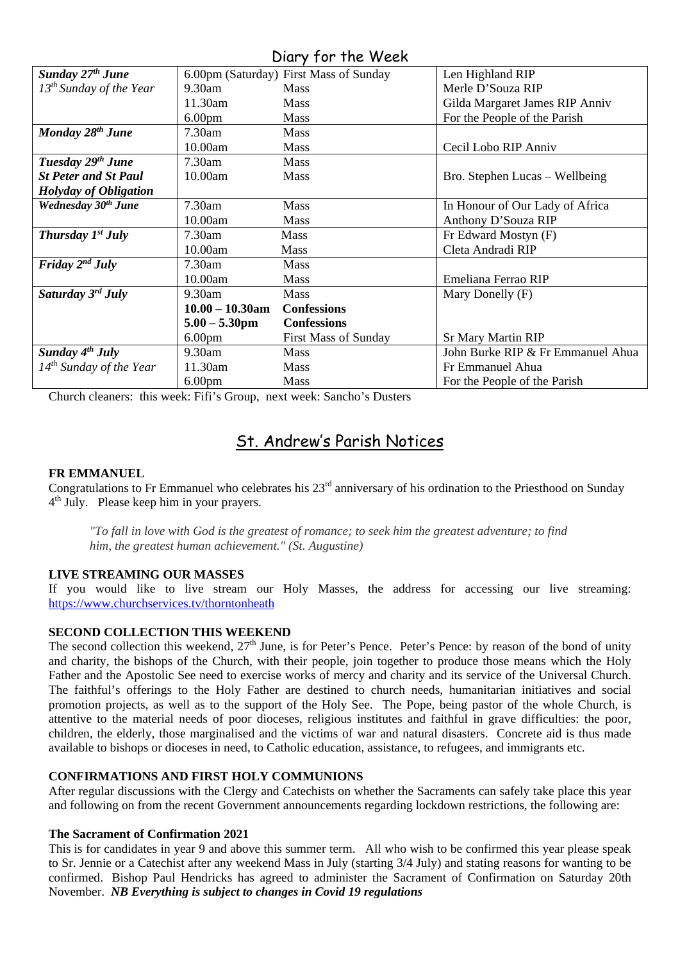# Diary for the Week

| Sunday 27 <sup>th</sup> June             |                    | 6.00pm (Saturday) First Mass of Sunday | Len Highland RIP                  |
|------------------------------------------|--------------------|----------------------------------------|-----------------------------------|
| $13^{th}$ Sunday of the Year             | 9.30am             | <b>Mass</b>                            | Merle D'Souza RIP                 |
|                                          | 11.30am            | <b>Mass</b>                            | Gilda Margaret James RIP Anniv    |
|                                          | 6.00 <sub>pm</sub> | <b>Mass</b>                            | For the People of the Parish      |
| Monday 28 <sup>th</sup> June             | $7.30$ am          | <b>Mass</b>                            |                                   |
|                                          | 10.00am            | <b>Mass</b>                            | Cecil Lobo RIP Anniv              |
| Tuesday 29 <sup>th</sup> June            | 7.30am             | <b>Mass</b>                            |                                   |
| <b>St Peter and St Paul</b>              | 10.00am            | <b>Mass</b>                            | Bro. Stephen Lucas – Wellbeing    |
| <b>Holyday of Obligation</b>             |                    |                                        |                                   |
| Wednesday 30 <sup>th</sup> June          | 7.30am             | <b>Mass</b>                            | In Honour of Our Lady of Africa   |
|                                          | 10.00am            | <b>Mass</b>                            | Anthony D'Souza RIP               |
| <b>Thursday <math>I^{st}</math> July</b> | $7.30$ am          | <b>Mass</b>                            | Fr Edward Mostyn (F)              |
|                                          | 10.00am            | <b>Mass</b>                            | Cleta Andradi RIP                 |
| Friday $2^{nd}$ July                     | $7.30$ am          | <b>Mass</b>                            |                                   |
|                                          | 10.00am            | <b>Mass</b>                            | Emeliana Ferrao RIP               |
| Saturday 3rd July                        | 9.30am             | <b>Mass</b>                            | Mary Donelly (F)                  |
|                                          | $10.00 - 10.30$ am | <b>Confessions</b>                     |                                   |
|                                          | $5.00 - 5.30$ pm   | <b>Confessions</b>                     |                                   |
|                                          | 6.00 <sub>pm</sub> | <b>First Mass of Sunday</b>            | <b>Sr Mary Martin RIP</b>         |
| Sunday $4^{th}$ July                     | 9.30am             | <b>Mass</b>                            | John Burke RIP & Fr Emmanuel Ahua |
| $14^{th}$ Sunday of the Year             | 11.30am            | <b>Mass</b>                            | Fr Emmanuel Ahua                  |
|                                          | 6.00 <sub>pm</sub> | <b>Mass</b>                            | For the People of the Parish      |

Church cleaners: this week: Fifi's Group, next week: Sancho's Dusters

# St. Andrew's Parish Notices

### **FR EMMANUEL**

Congratulations to Fr Emmanuel who celebrates his 23rd anniversary of his ordination to the Priesthood on Sunday 4th July. Please keep him in your prayers.

*"To fall in love with God is the greatest of romance; to seek him the greatest adventure; to find him, the greatest human achievement." (St. Augustine)*

#### **LIVE STREAMING OUR MASSES**

If you would like to live stream our Holy Masses, the address for accessing our live streaming: <https://www.churchservices.tv/thorntonheath>

#### **SECOND COLLECTION THIS WEEKEND**

The second collection this weekend,  $27<sup>th</sup>$  June, is for Peter's Pence. Peter's Pence: by reason of the bond of unity and charity, the bishops of the Church, with their people, join together to produce those means which the Holy Father and the Apostolic See need to exercise works of mercy and charity and its service of the Universal Church. The faithful's offerings to the Holy Father are destined to church needs, humanitarian initiatives and social promotion projects, as well as to the support of the Holy See. The Pope, being pastor of the whole Church, is attentive to the material needs of poor dioceses, religious institutes and faithful in grave difficulties: the poor, children, the elderly, those marginalised and the victims of war and natural disasters. Concrete aid is thus made available to bishops or dioceses in need, to Catholic education, assistance, to refugees, and immigrants etc.

#### **CONFIRMATIONS AND FIRST HOLY COMMUNIONS**

After regular discussions with the Clergy and Catechists on whether the Sacraments can safely take place this year and following on from the recent Government announcements regarding lockdown restrictions, the following are:

#### **The Sacrament of Confirmation 2021**

This is for candidates in year 9 and above this summer term. All who wish to be confirmed this year please speak to Sr. Jennie or a Catechist after any weekend Mass in July (starting 3/4 July) and stating reasons for wanting to be confirmed. Bishop Paul Hendricks has agreed to administer the Sacrament of Confirmation on Saturday 20th November. *NB Everything is subject to changes in Covid 19 regulations*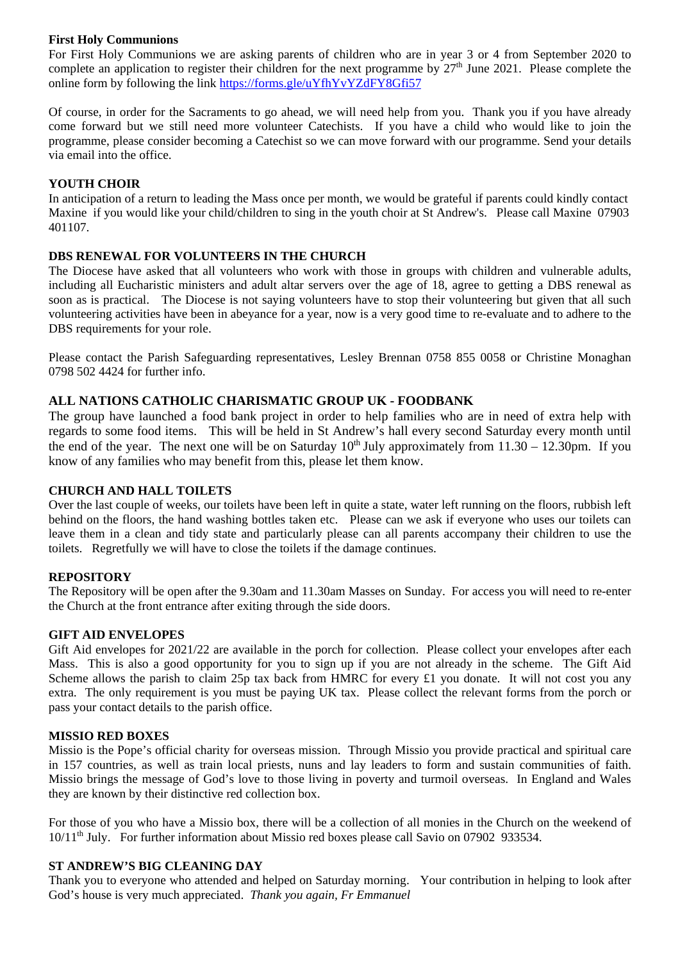### **First Holy Communions**

For First Holy Communions we are asking parents of children who are in year 3 or 4 from September 2020 to complete an application to register their children for the next programme by  $27<sup>th</sup>$  June 2021. Please complete the online form by following the link<https://forms.gle/uYfhYvYZdFY8Gfi57>

Of course, in order for the Sacraments to go ahead, we will need help from you. Thank you if you have already come forward but we still need more volunteer Catechists. If you have a child who would like to join the programme, please consider becoming a Catechist so we can move forward with our programme. Send your details via email into the office.

### **YOUTH CHOIR**

In anticipation of a return to leading the Mass once per month, we would be grateful if parents could kindly contact Maxine if you would like your child/children to sing in the youth choir at St Andrew's. Please call Maxine 07903 401107.

### **DBS RENEWAL FOR VOLUNTEERS IN THE CHURCH**

The Diocese have asked that all volunteers who work with those in groups with children and vulnerable adults, including all Eucharistic ministers and adult altar servers over the age of 18, agree to getting a DBS renewal as soon as is practical. The Diocese is not saying volunteers have to stop their volunteering but given that all such volunteering activities have been in abeyance for a year, now is a very good time to re-evaluate and to adhere to the DBS requirements for your role.

Please contact the Parish Safeguarding representatives, Lesley Brennan 0758 855 0058 or Christine Monaghan 0798 502 4424 for further info.

# **ALL NATIONS CATHOLIC CHARISMATIC GROUP UK - FOODBANK**

The group have launched a food bank project in order to help families who are in need of extra help with regards to some food items. This will be held in St Andrew's hall every second Saturday every month until the end of the year. The next one will be on Saturday  $10^{th}$  July approximately from  $11.30 - 12.30$  pm. If you know of any families who may benefit from this, please let them know.

#### **CHURCH AND HALL TOILETS**

Over the last couple of weeks, our toilets have been left in quite a state, water left running on the floors, rubbish left behind on the floors, the hand washing bottles taken etc. Please can we ask if everyone who uses our toilets can leave them in a clean and tidy state and particularly please can all parents accompany their children to use the toilets. Regretfully we will have to close the toilets if the damage continues.

#### **REPOSITORY**

The Repository will be open after the 9.30am and 11.30am Masses on Sunday. For access you will need to re-enter the Church at the front entrance after exiting through the side doors.

#### **GIFT AID ENVELOPES**

Gift Aid envelopes for 2021/22 are available in the porch for collection. Please collect your envelopes after each Mass. This is also a good opportunity for you to sign up if you are not already in the scheme. The Gift Aid Scheme allows the parish to claim 25p tax back from HMRC for every £1 you donate. It will not cost you any extra. The only requirement is you must be paying UK tax. Please collect the relevant forms from the porch or pass your contact details to the parish office.

#### **MISSIO RED BOXES**

Missio is the Pope's official charity for overseas mission. Through Missio you provide practical and spiritual care in 157 countries, as well as train local priests, nuns and lay leaders to form and sustain communities of faith. Missio brings the message of God's love to those living in poverty and turmoil overseas. In England and Wales they are known by their distinctive red collection box.

For those of you who have a Missio box, there will be a collection of all monies in the Church on the weekend of 10/11th July. For further information about Missio red boxes please call Savio on 07902 933534.

#### **ST ANDREW'S BIG CLEANING DAY**

Thank you to everyone who attended and helped on Saturday morning. Your contribution in helping to look after God's house is very much appreciated. *Thank you again, Fr Emmanuel*